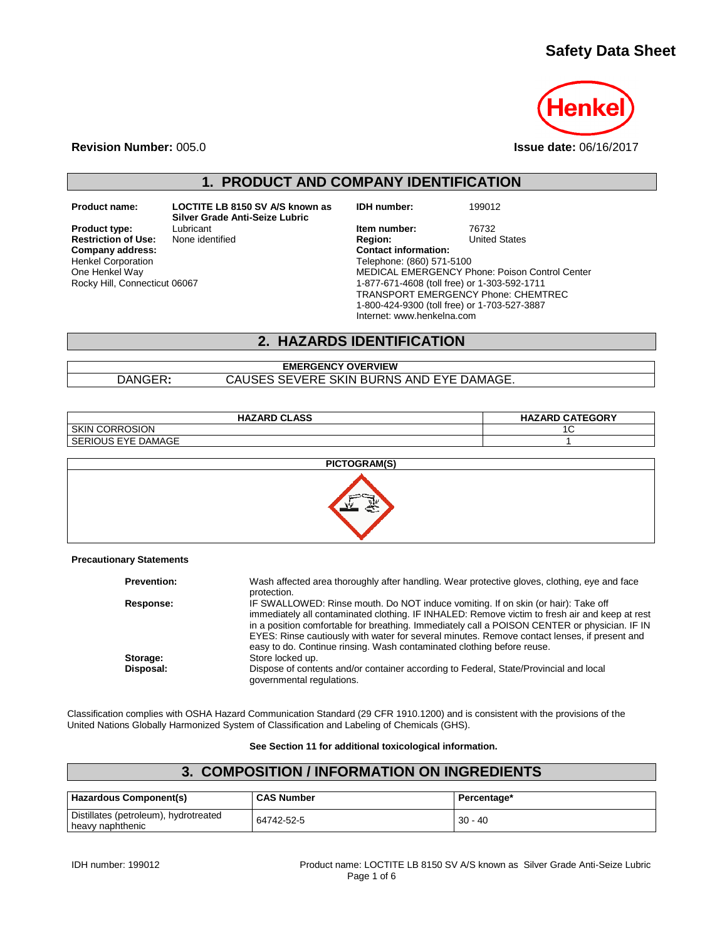# **Safety Data Sheet**



**Revision Number:** 005.0 **Issue date:** 06/16/2017

**1. PRODUCT AND COMPANY IDENTIFICATION**

**Restriction of Use:**<br>Company address: Henkel Corporation One Henkel Way Rocky Hill, Connecticut 06067

**Product name: LOCTITE LB 8150 SV A/S known as Silver Grade Anti-Seize Lubric**

**IDH number:** 199012

**Product type:** Lubricant Lubricant **Item number:** 76732<br> **Restriction of Use:** None identified **Interpretate Region:** United States **Company address: Contact information:** Telephone: (860) 571-5100 MEDICAL EMERGENCY Phone: Poison Control Center 1-877-671-4608 (toll free) or 1-303-592-1711 TRANSPORT EMERGENCY Phone: CHEMTREC 1-800-424-9300 (toll free) or 1-703-527-3887 Internet: www.henkelna.com

#### **2. HAZARDS IDENTIFICATION**

#### **EMERGENCY OVERVIEW** DANGER**:** CAUSES SEVERE SKIN BURNS AND EYE DAMAGE.

| <b>HAZARD CLASS</b>                | <b>HAZARD CATEGORY</b> |
|------------------------------------|------------------------|
| <b>SKIN</b><br><b>CORROSION</b>    | ∼                      |
| <b>DAMAGE</b><br>OUS EYE.<br>SERIC |                        |



#### **Precautionary Statements**

| Wash affected area thoroughly after handling. Wear protective gloves, clothing, eye and face<br>protection.                                                                                                                                                                                                                                                                                                                                                    |
|----------------------------------------------------------------------------------------------------------------------------------------------------------------------------------------------------------------------------------------------------------------------------------------------------------------------------------------------------------------------------------------------------------------------------------------------------------------|
| IF SWALLOWED: Rinse mouth. Do NOT induce vomiting. If on skin (or hair): Take off<br>immediately all contaminated clothing. IF INHALED: Remove victim to fresh air and keep at rest<br>in a position comfortable for breathing. Immediately call a POISON CENTER or physician. IF IN<br>EYES: Rinse cautiously with water for several minutes. Remove contact lenses, if present and<br>easy to do. Continue rinsing. Wash contaminated clothing before reuse. |
| Store locked up.                                                                                                                                                                                                                                                                                                                                                                                                                                               |
| Dispose of contents and/or container according to Federal, State/Provincial and local<br>governmental regulations.                                                                                                                                                                                                                                                                                                                                             |
|                                                                                                                                                                                                                                                                                                                                                                                                                                                                |

Classification complies with OSHA Hazard Communication Standard (29 CFR 1910.1200) and is consistent with the provisions of the United Nations Globally Harmonized System of Classification and Labeling of Chemicals (GHS).

**See Section 11 for additional toxicological information.**

### **3. COMPOSITION / INFORMATION ON INGREDIENTS**

| Hazardous Component(s)                                    | <b>CAS Number</b> | Percentage* |
|-----------------------------------------------------------|-------------------|-------------|
| Distillates (petroleum), hydrotreated<br>heavy naphthenic | 64742-52-5        | $30 - 40$   |

IDH number: 199012 Product name: LOCTITE LB 8150 SV A/S known as Silver Grade Anti-Seize Lubric Page 1 of 6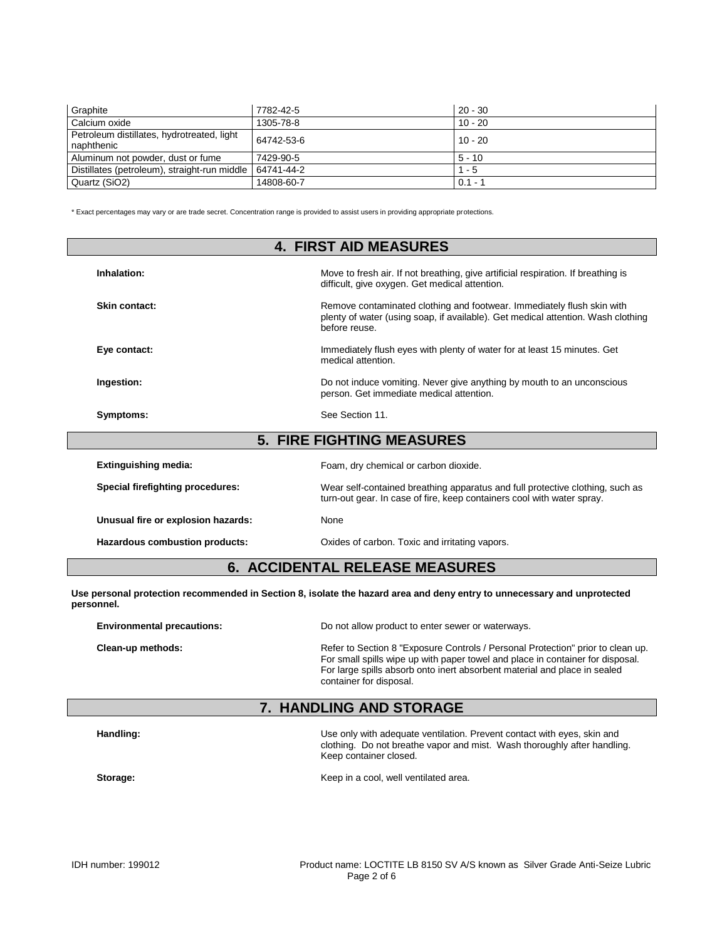| Graphite                                                 | 7782-42-5  | $20 - 30$ |
|----------------------------------------------------------|------------|-----------|
| Calcium oxide                                            | 1305-78-8  | $10 - 20$ |
| Petroleum distillates, hydrotreated, light<br>naphthenic | 64742-53-6 | $10 - 20$ |
| Aluminum not powder, dust or fume                        | 7429-90-5  | $5 - 10$  |
| Distillates (petroleum), straight-run middle             | 64741-44-2 | $1 - 5$   |
| Quartz (SiO2)                                            | 14808-60-7 | $0.1 - 7$ |

\* Exact percentages may vary or are trade secret. Concentration range is provided to assist users in providing appropriate protections.

| <b>4. FIRST AID MEASURES</b>          |                                                                                                                                                                             |  |  |
|---------------------------------------|-----------------------------------------------------------------------------------------------------------------------------------------------------------------------------|--|--|
| Inhalation:                           | Move to fresh air. If not breathing, give artificial respiration. If breathing is<br>difficult, give oxygen. Get medical attention.                                         |  |  |
| Skin contact:                         | Remove contaminated clothing and footwear. Immediately flush skin with<br>plenty of water (using soap, if available). Get medical attention. Wash clothing<br>before reuse. |  |  |
| Eye contact:                          | Immediately flush eyes with plenty of water for at least 15 minutes. Get<br>medical attention.                                                                              |  |  |
| Ingestion:                            | Do not induce vomiting. Never give anything by mouth to an unconscious<br>person. Get immediate medical attention.                                                          |  |  |
| Symptoms:                             | See Section 11.                                                                                                                                                             |  |  |
|                                       | <b>5. FIRE FIGHTING MEASURES</b>                                                                                                                                            |  |  |
| <b>Extinguishing media:</b>           | Foam, dry chemical or carbon dioxide.                                                                                                                                       |  |  |
| Special firefighting procedures:      | Wear self-contained breathing apparatus and full protective clothing, such as<br>turn-out gear. In case of fire, keep containers cool with water spray.                     |  |  |
| Unusual fire or explosion hazards:    | None                                                                                                                                                                        |  |  |
| <b>Hazardous combustion products:</b> | Oxides of carbon. Toxic and irritating vapors.                                                                                                                              |  |  |

## **6. ACCIDENTAL RELEASE MEASURES**

**Use personal protection recommended in Section 8, isolate the hazard area and deny entry to unnecessary and unprotected personnel.**

| <b>Environmental precautions:</b> | Do not allow product to enter sewer or waterways.                                                                                                                                                                                                                         |  |  |
|-----------------------------------|---------------------------------------------------------------------------------------------------------------------------------------------------------------------------------------------------------------------------------------------------------------------------|--|--|
| Clean-up methods:                 | Refer to Section 8 "Exposure Controls / Personal Protection" prior to clean up.<br>For small spills wipe up with paper towel and place in container for disposal.<br>For large spills absorb onto inert absorbent material and place in sealed<br>container for disposal. |  |  |

## **7. HANDLING AND STORAGE**

**Handling:** Use only with adequate ventilation. Prevent contact with eyes, skin and Use only with adequate ventilation. Prevent contact with eyes, skin and clothing. Do not breathe vapor and mist. Wash thoroughly after handling. Keep container closed.

**Storage:** Storage: Storage: Entertainment and the Keep in a cool, well ventilated area.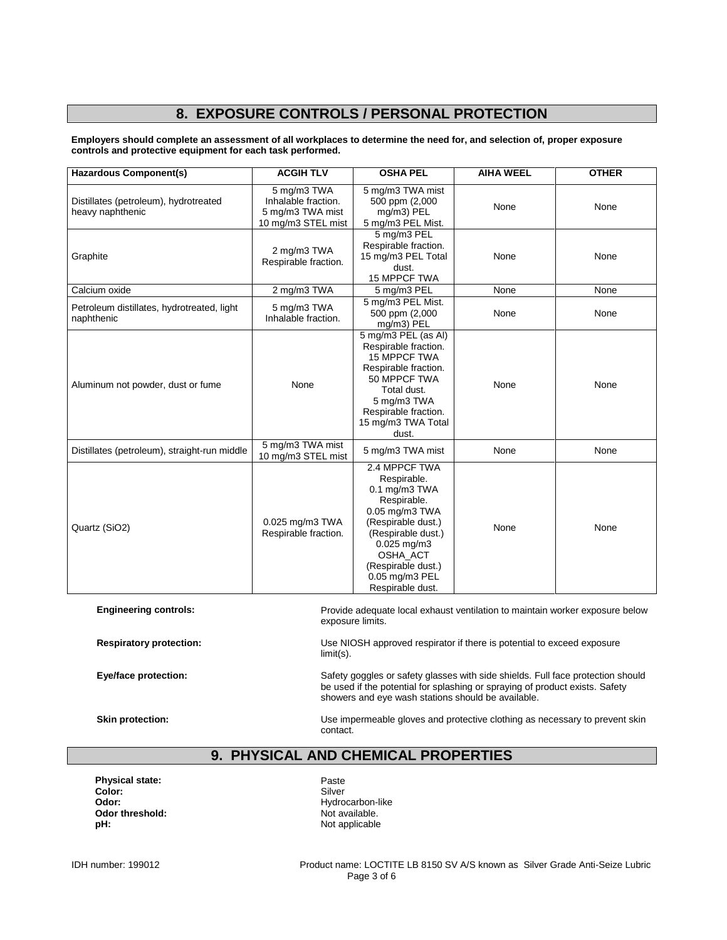# **8. EXPOSURE CONTROLS / PERSONAL PROTECTION**

**Employers should complete an assessment of all workplaces to determine the need for, and selection of, proper exposure controls and protective equipment for each task performed.**

| <b>Hazardous Component(s)</b>                                                                                                    | <b>ACGIH TLV</b>                                                             | <b>OSHA PEL</b>                                                                                                                                                                                                               | <b>AIHA WEEL</b> | <b>OTHER</b> |
|----------------------------------------------------------------------------------------------------------------------------------|------------------------------------------------------------------------------|-------------------------------------------------------------------------------------------------------------------------------------------------------------------------------------------------------------------------------|------------------|--------------|
| Distillates (petroleum), hydrotreated<br>heavy naphthenic                                                                        | 5 mg/m3 TWA<br>Inhalable fraction.<br>5 mg/m3 TWA mist<br>10 mg/m3 STEL mist | 5 mg/m3 TWA mist<br>500 ppm (2,000<br>mg/m3) PEL<br>5 mg/m3 PEL Mist.                                                                                                                                                         | None             | None         |
| Graphite                                                                                                                         | 2 mg/m3 TWA<br>Respirable fraction.                                          | 5 mg/m3 PEL<br>Respirable fraction.<br>15 mg/m3 PEL Total<br>dust.<br>15 MPPCF TWA                                                                                                                                            | None             | None         |
| Calcium oxide                                                                                                                    | 2 mg/m3 TWA                                                                  | 5 mg/m3 PEL                                                                                                                                                                                                                   | None             | None         |
| Petroleum distillates, hydrotreated, light<br>naphthenic                                                                         | 5 mg/m3 TWA<br>Inhalable fraction.                                           | 5 mg/m3 PEL Mist.<br>500 ppm (2,000<br>mg/m3) PEL                                                                                                                                                                             | None             | None         |
| Aluminum not powder, dust or fume                                                                                                | None                                                                         | 5 mg/m3 PEL (as Al)<br>Respirable fraction.<br><b>15 MPPCF TWA</b><br>Respirable fraction.<br>50 MPPCF TWA<br>Total dust.<br>5 mg/m3 TWA<br>Respirable fraction.<br>15 mg/m3 TWA Total<br>dust.                               | None             | None         |
| Distillates (petroleum), straight-run middle                                                                                     | 5 mg/m3 TWA mist<br>10 mg/m3 STEL mist                                       | 5 mg/m3 TWA mist                                                                                                                                                                                                              | None             | None         |
| Quartz (SiO2)                                                                                                                    | 0.025 mg/m3 TWA<br>Respirable fraction.                                      | 2.4 MPPCF TWA<br>Respirable.<br>$0.1$ mg/m $3$ TWA<br>Respirable.<br>$0.05$ mg/m $3$ TWA<br>(Respirable dust.)<br>(Respirable dust.)<br>$0.025$ mg/m3<br>OSHA ACT<br>(Respirable dust.)<br>0.05 mg/m3 PEL<br>Respirable dust. | None             | None         |
| <b>Engineering controls:</b><br>Provide adequate local exhaust ventilation to maintain worker exposure below<br>exposure limits. |                                                                              |                                                                                                                                                                                                                               |                  |              |

**Respiratory protection:** Use NIOSH approved respirator if there is potential to exceed exposure limit(s).

Eye/face protection: Safety goggles or safety glasses with side shields. Full face protection should be used if the potential for splashing or spraying of product exists. Safety showers and eye wash stations should be available.

**Skin protection:** Use impermeable gloves and protective clothing as necessary to prevent skin contact.

## **9. PHYSICAL AND CHEMICAL PROPERTIES**

**Physical state:** Paste Paste<br> **Color:** Paste Color: Paste Paste Paste Paste Paste Paste Paste Paste Paste Paste Paste Paste Paste Paste Paste Paste Paste Paste Paste Paste Paste Paste Paste Paste Paste Paste Paste Paste P Color:<br>Odor: **Odor threshold:**<br>pH:

Hydrocarbon-like<br>Not available. Not applicable

IDH number: 199012 Product name: LOCTITE LB 8150 SV A/S known as Silver Grade Anti-Seize Lubric Page 3 of 6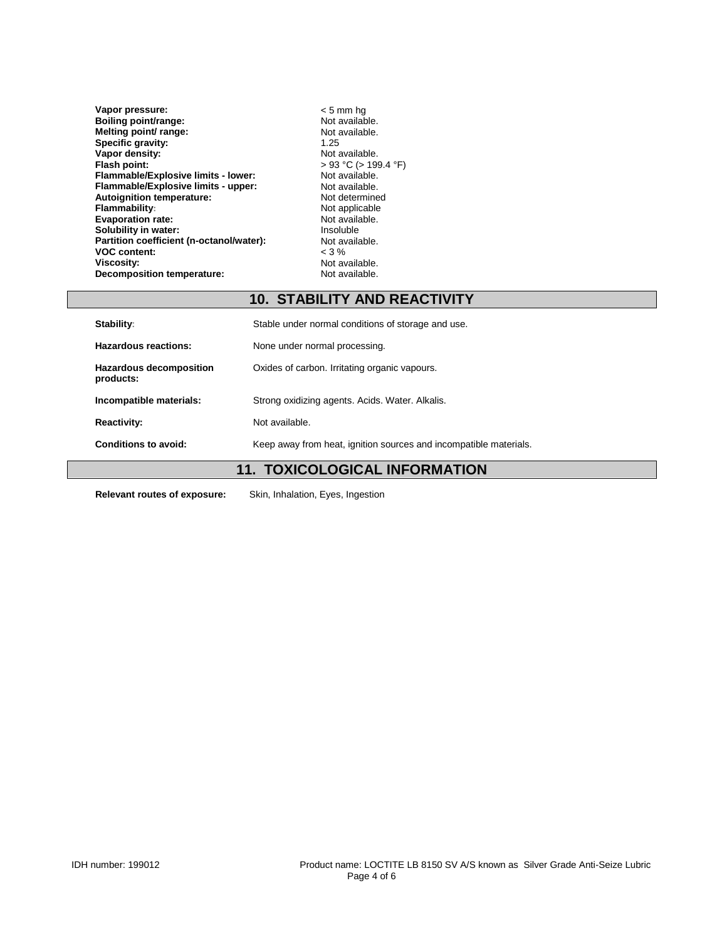| Vapor pressure:                          | $< 5$ mm hq               |
|------------------------------------------|---------------------------|
| Boiling point/range:                     | Not available.            |
| Melting point/ range:                    | Not available.            |
| Specific gravity:                        | 1.25                      |
| Vapor density:                           | Not available.            |
| Flash point:                             | $>$ 93 °C ( $>$ 199.4 °F) |
| Flammable/Explosive limits - lower:      | Not available.            |
| Flammable/Explosive limits - upper:      | Not available.            |
| Autoignition temperature:                | Not determined            |
| <b>Flammability:</b>                     | Not applicable            |
| <b>Evaporation rate:</b>                 | Not available.            |
| Solubility in water:                     | Insoluble                 |
| Partition coefficient (n-octanol/water): | Not available.            |
| <b>VOC content:</b>                      | $<$ 3 %                   |
| <b>Viscosity:</b>                        | Not available.            |
| <b>Decomposition temperature:</b>        | Not available.            |

## **10. STABILITY AND REACTIVITY**

| <b>Stability:</b>                    | Stable under normal conditions of storage and use.                |  |
|--------------------------------------|-------------------------------------------------------------------|--|
| Hazardous reactions:                 | None under normal processing.                                     |  |
| Hazardous decomposition<br>products: | Oxides of carbon. Irritating organic vapours.                     |  |
| Incompatible materials:              | Strong oxidizing agents. Acids. Water. Alkalis.                   |  |
| <b>Reactivity:</b>                   | Not available.                                                    |  |
| Conditions to avoid:                 | Keep away from heat, ignition sources and incompatible materials. |  |

# **11. TOXICOLOGICAL INFORMATION**

**Relevant routes of exposure:** Skin, Inhalation, Eyes, Ingestion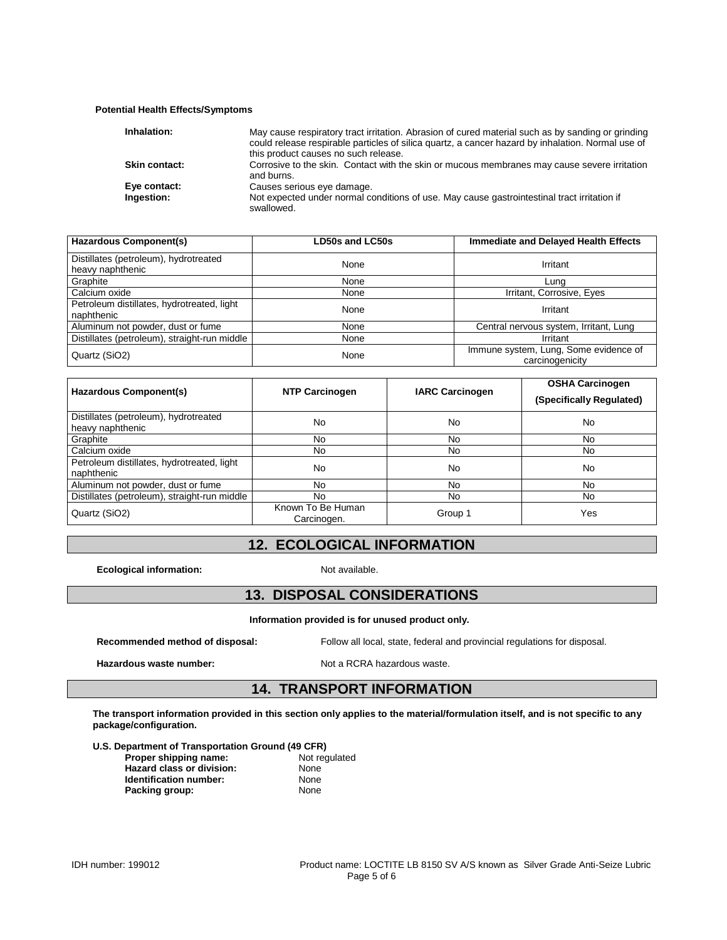#### **Potential Health Effects/Symptoms**

| Inhalation:                | May cause respiratory tract irritation. Abrasion of cured material such as by sanding or grinding<br>could release respirable particles of silica quartz, a cancer hazard by inhalation. Normal use of<br>this product causes no such release. |
|----------------------------|------------------------------------------------------------------------------------------------------------------------------------------------------------------------------------------------------------------------------------------------|
| <b>Skin contact:</b>       | Corrosive to the skin. Contact with the skin or mucous membranes may cause severe irritation<br>and burns.                                                                                                                                     |
| Eye contact:<br>Ingestion: | Causes serious eye damage.<br>Not expected under normal conditions of use. May cause gastrointestinal tract irritation if<br>swallowed.                                                                                                        |

| <b>Hazardous Component(s)</b>                             | LD50s and LC50s | Immediate and Delayed Health Effects                     |
|-----------------------------------------------------------|-----------------|----------------------------------------------------------|
| Distillates (petroleum), hydrotreated<br>heavy naphthenic | None            | Irritant                                                 |
| Graphite                                                  | None            | Luna                                                     |
| Calcium oxide                                             | None            | Irritant, Corrosive, Eyes                                |
| Petroleum distillates, hydrotreated, light<br>naphthenic  | None            | Irritant                                                 |
| Aluminum not powder, dust or fume                         | None            | Central nervous system, Irritant, Lung                   |
| Distillates (petroleum), straight-run middle              | None            | Irritant                                                 |
| Quartz (SiO2)                                             | None            | Immune system, Lung, Some evidence of<br>carcinogenicity |

| Hazardous Component(s)                                    | <b>NTP Carcinogen</b>            | <b>IARC Carcinogen</b> | <b>OSHA Carcinogen</b><br>(Specifically Regulated) |
|-----------------------------------------------------------|----------------------------------|------------------------|----------------------------------------------------|
| Distillates (petroleum), hydrotreated<br>heavy naphthenic | No                               | No                     | No.                                                |
| Graphite                                                  | No                               | No                     | No.                                                |
| Calcium oxide                                             | No                               | No                     | No.                                                |
| Petroleum distillates, hydrotreated, light<br>naphthenic  | No                               | No                     | N <sub>0</sub>                                     |
| Aluminum not powder, dust or fume                         | No                               | No                     | No.                                                |
| Distillates (petroleum), straight-run middle              | No.                              | No                     | No.                                                |
| Quartz (SiO2)                                             | Known To Be Human<br>Carcinogen. | Group 1                | Yes                                                |

## **12. ECOLOGICAL INFORMATION**

**Ecological information:** Not available.

## **13. DISPOSAL CONSIDERATIONS**

**Information provided is for unused product only.**

**Recommended method of disposal:** Follow all local, state, federal and provincial regulations for disposal.

Hazardous waste number: Not a RCRA hazardous waste.

### **14. TRANSPORT INFORMATION**

**The transport information provided in this section only applies to the material/formulation itself, and is not specific to any package/configuration.**

| Proper shipping name:     | Not regulated |
|---------------------------|---------------|
| Hazard class or division: | None          |
| Identification number:    | None          |
| Packing group:            | None          |